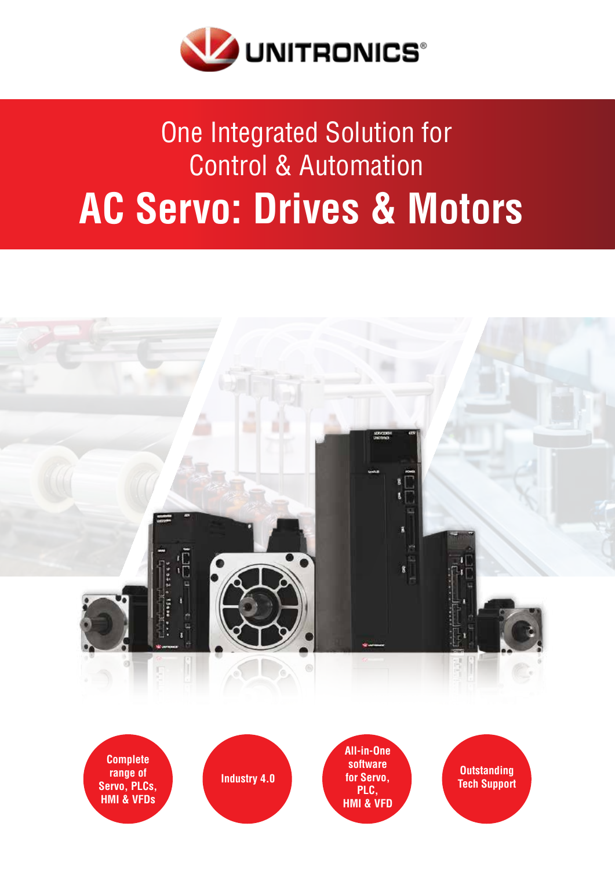

## One Integrated Solution for **Control & Automation AC Servo: Drives & Motors**



**HMI & VFDs** 

**PLC**, **HMI & VFD**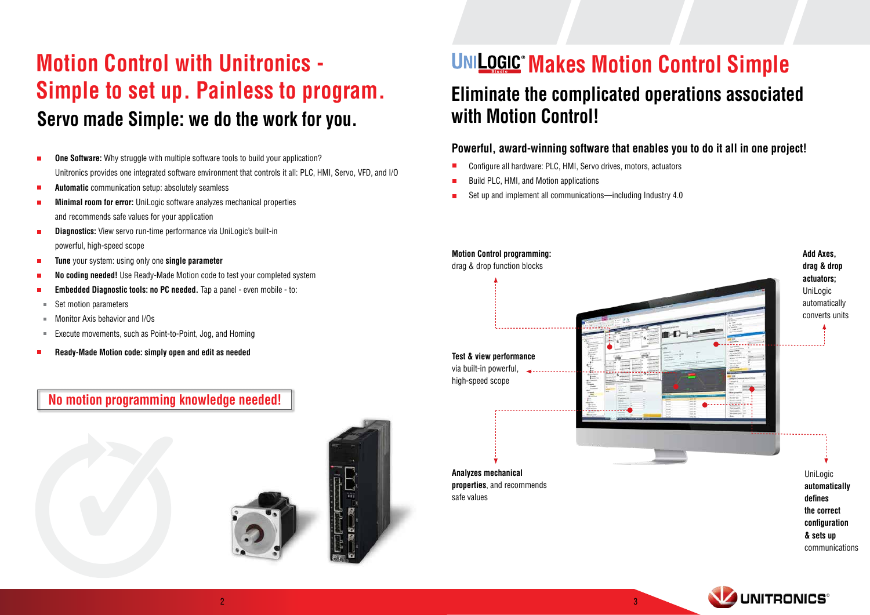## **Motion Control with Unitronics -Simple to set up. Painless to program. Servo made Simple: we do the work for you.**

- **One Software:** Why struggle with multiple software tools to build your application?  $\mathcal{L}_{\mathcal{A}}$ Unitronics provides one integrated software environment that controls it all: PLC, HMI, Servo, VFD, and I/O
- **Automatic** communication setup: absolutely seamless  $\mathcal{L}_{\mathcal{A}}$
- **Minimal room for error:** UniLogic software analyzes mechanical properties and recommends safe values for your application
- **Diagnostics:** View servo run-time performance via UniLogic's built-in powerful, high-speed scope
- **Tune** your system: using only one **single parameter**  $\blacksquare$
- No coding needed! Use Ready-Made Motion code to test your completed system
- **Embedded Diagnostic tools: no PC needed.** Tap a panel even mobile to:
- Set motion parameters  $\overline{\phantom{a}}$
- Monitor Axis behavior and I/Os  $\mathbf{m}$
- Execute movements, such as Point-to-Point, Jog, and Homing  $\blacksquare$
- Ready-Made Motion code: simply open and edit as needed

## **No motion programming knowledge needed!**





**Analyzes mechanical properties**, and recommends safe values



## **UNILOGIC® Makes Motion Control Simple Eliminate the complicated operations associated**

# **with Motion Control!**

## **Powerful, award-winning software that enables you to do it all in one project!**

- Configure all hardware: PLC, HMI, Servo drives, motors, actuators
- Build PLC, HMI, and Motion applications  $\blacksquare$
- Set up and implement all communications—including Industry 4.0

### **Motion Control programming:**

drag & drop function blocks

**Test & view performance** via built-in powerful, <u>Literature de la const</u> high-speed scope

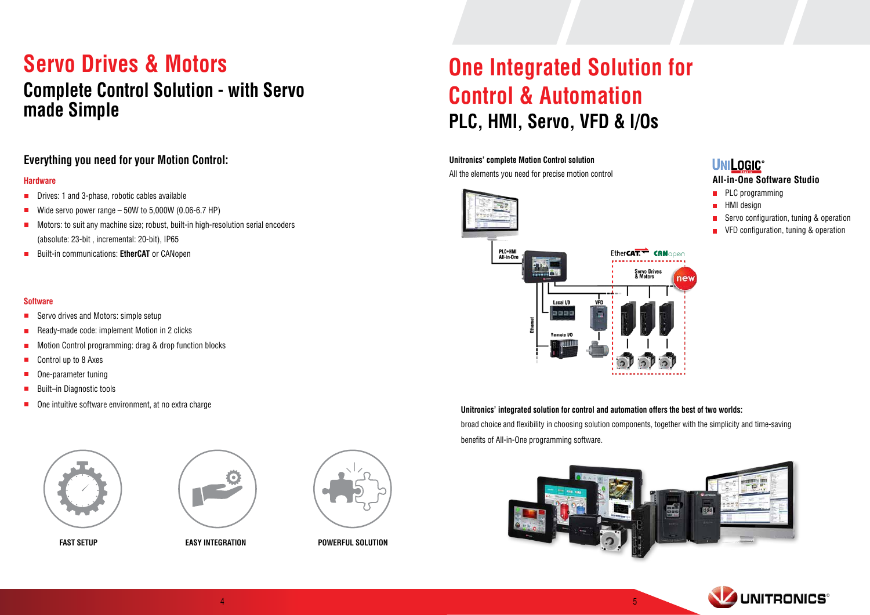## **Servo Drives & Motors Complete Control Solution - with Servo** made Simple

## **Everything you need for your Motion Control:**

### **Hardware**

- **D** Drives: 1 and 3-phase, robotic cables available
- Wide servo power range  $-50W$  to  $5,000W$  (0.06-6.7 HP)
- **E** Motors: to suit any machine size; robust, built-in high-resolution serial encoders (absolute: 23-bit, incremental: 20-bit), IP65
- **EXAGREE OR EXAGREE OR EXAGREM** EQUILE-in communications: **EtherCAT** or CANopen

### **Software**

- $\blacksquare$  Servo drives and Motors: simple setup
- Ready-made code: implement Motion in 2 clicks  $\mathcal{L}_{\mathcal{A}}$
- Motion Control programming: drag & drop function blocks
- Control up to 8 Axes  $\mathcal{L}_{\mathcal{A}}$
- One-parameter tuning  $\mathcal{L}_{\mathcal{A}}$
- Built-in Diagnostic tools  $\overline{\phantom{a}}$
- One intuitive software environment, at no extra charge  $\mathcal{L}_{\mathcal{A}}$







**EAST SETUP** EASY INTEGRATION EASY INTEGRATION

## PLC, HMI, Servo, VFD & I/Os **One Integrated Solution for Control & Automation**

### **Unitronics' complete Motion Control solution**

All the elements you need for precise motion control



**Unitronics' integrated solution for control and automation offers the best of two worlds:** broad choice and flexibility in choosing solution components, together with the simplicity and time-saving benefits of All-in-One programming software.



## **UNILOGIC® All-in-One Software Studio**

- $\blacksquare$  PLC programming
- HMI design
- Servo configuration, tuning & operation
- VFD configuration, tuning & operation

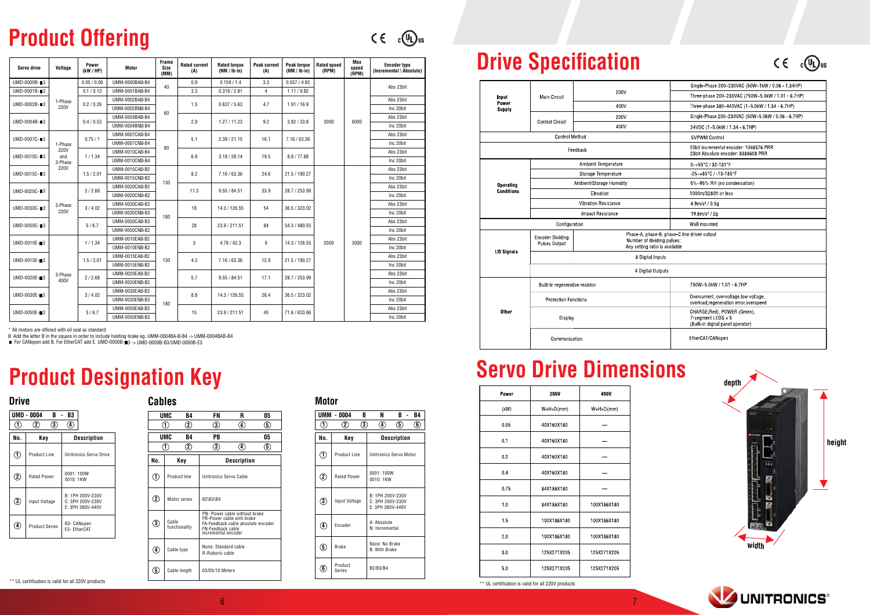## **Product Offering**

 $C \in C$   $\mathbb{C}$   $\mathbb{D}$  us

## **Drive Specification**

|                        |                                          |                                                              | Single-Phase 200~230VAC (50W~1kW / 0.06 - 1.34HP)                                             |  |  |  |  |  |
|------------------------|------------------------------------------|--------------------------------------------------------------|-----------------------------------------------------------------------------------------------|--|--|--|--|--|
| Input                  | <b>Main Circuit</b>                      | 200V                                                         | Three-phase 200~230VAC (750W~5.0kW / 1.01 - 6.7HP)                                            |  |  |  |  |  |
| Power<br><b>Supply</b> |                                          | 400V                                                         | Three-phase 380~440VAC (1~5 0kW / 1 34 - 6 7HP)                                               |  |  |  |  |  |
|                        |                                          | 200V                                                         | Single-Phase 200~230VAC (50W~5.0kW / 0.06 - 6.7HP)                                            |  |  |  |  |  |
|                        | <b>Control Circuit</b>                   | 400V                                                         | 24VDC (1~5 0kW / 1 34 - 6 7HP)                                                                |  |  |  |  |  |
|                        | <b>Control Method</b>                    |                                                              | <b>SVPWM Control</b>                                                                          |  |  |  |  |  |
|                        |                                          | Feedback                                                     | 20bit incremental encoder: 1048576 PRR<br>23bit Absolute encoder: 8388608 PRR                 |  |  |  |  |  |
|                        |                                          | <b>Ambient Temperature</b>                                   | 0~+55°C / 32-131°F                                                                            |  |  |  |  |  |
|                        |                                          | Storage Temperature                                          | $-25 - +85$ °C / $-13 - 185$ °F                                                               |  |  |  |  |  |
| <b>Operating</b>       |                                          | Ambient/Storage Humidity                                     | 5%~95% RH (no condensation)                                                                   |  |  |  |  |  |
| <b>Conditions</b>      |                                          | Elevation                                                    | 1000m/3280ft or less                                                                          |  |  |  |  |  |
|                        |                                          | <b>Vibration Resistance</b>                                  | 4 9m/s <sup>2</sup> / 0 5g                                                                    |  |  |  |  |  |
|                        |                                          | <b>Impact Resistance</b>                                     | 19.6m/s <sup>2</sup> / 2g                                                                     |  |  |  |  |  |
|                        | Configuration                            |                                                              | Wall mounted                                                                                  |  |  |  |  |  |
|                        | <b>Encoder Dividing</b><br>Pulses Output | Number of dividing pulses:<br>Any setting ratio is available | Phase-A, phase-B, phase-C:line driver output                                                  |  |  |  |  |  |
| I/O Signals            |                                          | 8 Digital Inputs                                             |                                                                                               |  |  |  |  |  |
|                        |                                          | 4 Digital Outputs                                            |                                                                                               |  |  |  |  |  |
|                        | Built-in regenerative resistor           |                                                              | 750W~5.0kW / 1.01 6.7HP                                                                       |  |  |  |  |  |
|                        | <b>Protection Functions</b>              |                                                              | Overcurrent, overvoltage, low voltage,<br>overload, regeneration error, overspeed             |  |  |  |  |  |
| <b>Other</b>           | Display                                  |                                                              | CHARGE(Red), POWER (Green),<br>7-seament LEDS $\times$ 5<br>(Built-in digital panel operator) |  |  |  |  |  |
|                        | Communication                            |                                                              | EtherCAT/CANopen                                                                              |  |  |  |  |  |

## **Servo Drive Dimensions**

| Power | <b>200V</b>                | 400V                       |  |  |  |  |
|-------|----------------------------|----------------------------|--|--|--|--|
| (kW)  | $W \times H \times D$ (mm) | $W \times H \times D$ (mm) |  |  |  |  |
| 0.05  | 40X160X180                 |                            |  |  |  |  |
| 0.1   | 40X160X180                 |                            |  |  |  |  |
| 0.2   | 40X160X180                 |                            |  |  |  |  |
| 0.4   | 40X160X180                 |                            |  |  |  |  |
| 0.75  | 84X186X180                 |                            |  |  |  |  |
| 1.0   | 84X186X180                 | 100X186X180                |  |  |  |  |
| 1.5   | 100X186X180                | 100X186X180                |  |  |  |  |
| 2.0   | 100X186X180                | 100X186X180                |  |  |  |  |
| 3.0   | 125X271X205                | 125X271X205                |  |  |  |  |
| 5.0   | 125X271X205                | 125X271X205                |  |  |  |  |

### **PowerServo** drive **Voltage Motor) HP / kW( Size (MM( Rated** current **(A( Rated** torque **(NM**/Ib-in) **Peak current (A( Peak torque (in-lb / NM( Rated** speed **(RPM( Max speed (RPM( Encoder** type **(Absolute \ Incremental(**  $UMD-0000B-3$ 1-Phase  $220V$  $0.05 / 0.06$  UMM-0000BA -B4 40 0.9  $\begin{array}{|c|c|c|c|c|c|c|c|c|} \hline \text{0.159 / 1.4} & \text{3.3} & \text{0.557 / 4.92} \hline \end{array}$ 6000 3000 Abs 23 bit 9.82 / 1.11 4 2.81 / 0.318 3.3 4B- BA-0001UMM 0.13 / 0.1 3 -B-0001UMD 0.26 / 0.2 3 -B-0002UMD UMM-0002BA -B4 60 1.5  $\begin{array}{|c|c|c|c|c|c|c|c|} \hline \end{array}$  0.637 / 5.63  $\begin{array}{|c|c|c|c|c|} \hline \end{array}$  4.7  $\begin{array}{|c|c|c|c|c|} \hline \end{array}$  1.91 / 16.9 Abs 23 bit  $\underline{\text{UMM-0002BN -BA}}$  1.3  $0.03773.03$  4.7  $1.91710.9$  http://  $UMD-0004B-3$   $0.4/0.53$ UMM-0004BA -B4 2.9 1.27 / 11.23 9.2 3.82 / 3.82 Abs 23bit  $UMM-0004BN-BA$  |  $E.W.$  |  $E.W.$  |  $E.W.$  |  $E.W.$  |  $E.W.$  |  $E.W.$  |  $E.W.$  |  $E.W.$  |  $E V.$  |  $E V.$  |  $E V.$  |  $E V.$  |  $E V.$  |  $E V.$  |  $E V.$  |  $E V.$  |  $E V.$  |  $E V.$  |  $E V.$  |  $E V.$  |  $E V.$  |  $E V.$  |  $E V.$  |  $E V.$  |  $E V.$  |  $E V.$  UMD-0007C-■3 1-Phase 220V and 3-Phase 220V  $0.75/1$ UMM-0007CA -B4 80  $5.1$  2.39 / 21.15 16.1 7.16 / 63.36 Abs 23 hit UMM-0007CN -B4  $\begin{bmatrix} 0.1 \\ 0.2 \end{bmatrix}$   $\begin{bmatrix} 2.3972113 \\ 2.00721113 \end{bmatrix}$   $\begin{bmatrix} 1.10703330 \\ 1.10703330 \end{bmatrix}$   $\begin{bmatrix} 1.10703330 \\ 1.10703330 \end{bmatrix}$  $UMD-0010C-M3$  and  $1/1.34$ UMM-0010CA -B4 6.9 <br>3.18 / 28.14 <br>19.5 <br>8.8 / 77.88 Abs 23 bit  $\begin{bmatrix} 100 \times 0.0000 \times 0.0000 \times 0.0000 \times 0.0000 \times 0.0000 \times 0.0000 \times 0.0000 \times 0.0000 \times 0.0000 \times 0.0000 \times 0.0000 \times 0.0000 \times 0.0000 \times 0.0000 \times 0.0000 \times 0.0000 \times 0.0000 \times 0.0000 \times 0.0000 \times 0.0000 \times 0.0000 \times 0.0000 \times 0.0000 \times$  $UMD-0015C-13$   $1.5/2.01$ UMM-0015CA -B2 130 8.2 7.16 / 63.36 24.6 21.5 / 190.27 3000 2000 Abs 23 bit UMM-0015CN -B2  $\begin{bmatrix} 0.2 \\ 0.2 \end{bmatrix}$   $\begin{bmatrix} 0.0 \\ 0.001 \end{bmatrix}$   $\begin{bmatrix} 2.1 & 0 \\ 0.2 & 0.001 \end{bmatrix}$   $\begin{bmatrix} 2.1 & 0 \\ 0.2 & 0.0 \end{bmatrix}$   $\begin{bmatrix} 2.1 & 0 \\ 0 & 1 \end{bmatrix}$   $\begin{bmatrix} 0 \\ 0 \\ 0 \end{bmatrix}$   $\begin{bmatrix} 1 \\ 0 \\ 0 \end{bmatrix}$   $\begin{bmatrix} 1 \\ 0 \\ 0 \$ UMD-0020C-**03** 3-Phase 220V  $2/2.68$ UMM-0020CA -B2  $11.3$  9.55 / 84.51 33.9 28.7 / 253.99 Abs 23 bit  $\underline{\text{UMM-0020CN} -B2}$  11.3  $3.53 / 64.51$   $3.33$   $6.7 / 233.59$  $UMD-0030C-13$   $3^{-17}$   $3/4.02$ UMM-0030CA -B3 180 18 | 14.3 / 126.55 | 54 | 36.5 / 323.02 Abs 23 hit  $\begin{bmatrix} 1 & 1 & 1 & 1 & 1 & 1 \ 0 & 0 & 0 & 0 & 0 \end{bmatrix}$   $\begin{bmatrix} 1 & 1 & 1 & 1 & 1 & 1 \ 0 & 0 & 0 & 0 & 0 \end{bmatrix}$   $\begin{bmatrix} 0 & 0 & 0 & 0 & 0 \ 0 & 0 & 0 & 0 & 0 \end{bmatrix}$   $\begin{bmatrix} 0 & 0 & 0 & 0 & 0 \ 0 & 0 & 0 & 0 & 0 \end{bmatrix}$   $\begin{bmatrix} 0 & 0 & 0 & 0 & 0 \ 0 & 0 & 0 & 0 & 0 \end{$  $UMD-0050C-13$   $5/6.7$ UMM-0050CA -B3 28 | 23.9 / 211.51 | 84 | 54.3 / 480.55 Abs  $23$ bit  $\begin{bmatrix} 1000 & -B2 \\ -B2 \end{bmatrix}$   $\begin{bmatrix} 200 & 200 \\ -B2 \end{bmatrix}$   $\begin{bmatrix} 2000 & -B2 \\ -B2 \end{bmatrix}$   $\begin{bmatrix} 2000 & -B2 \\ -B2 \end{bmatrix}$ UMD-0010E-■3 3-Phase 400V  $1/1.34$ UMM-0010EA -B2 130 3  $\begin{vmatrix} 4.78 / 42.3 \end{vmatrix}$  9  $\begin{vmatrix} 14.3 / 126.55 \end{vmatrix}$ Abs 23 bit  $UMM$ -0010EN -B2  $\begin{vmatrix} 0 & 1 \end{vmatrix}$   $\begin{vmatrix} 0 & 1 \end{vmatrix}$  +1.07 +2.5  $\begin{vmatrix} 0 & 1 \end{vmatrix}$  =  $\begin{vmatrix} 1 & 0 \end{vmatrix}$  =  $\begin{vmatrix} 0 & 0 \end{vmatrix}$  =  $\begin{vmatrix} 0 & 0 \end{vmatrix}$  =  $\begin{vmatrix} 0 & 0 \end{vmatrix}$  =  $\begin{vmatrix} 0 & 0 \end{vmatrix}$  =  $\begin{vmatrix} 0 & 0 \end{vmatrix}$  =  $UMD-0015E-M3$   $1.5 / 2.01$ UMM-0015EA -B2 4.3 7.16 / 63.36 12.9 21.5 / 190.27 Abs 23 bit  $\begin{bmatrix} 1 & 0 & 0 \\ 0 & 0 & 1 \end{bmatrix}$  is  $\begin{bmatrix} 4 & 3 \\ 0 & 1 \end{bmatrix}$  is  $\begin{bmatrix} 1 & 0 & 0 \\ 0 & 0 & 0 \end{bmatrix}$  is  $\begin{bmatrix} 1 & 2 & 3 \\ 0 & 1 & 0 \end{bmatrix}$  is  $\begin{bmatrix} 1 & 0 & 0 \\ 0 & 1 & 0 \end{bmatrix}$  inc 20 bit UMD-0020E- $\blacksquare$ 3  $\frac{3 - \text{Phase}}{4001}$  2/2.68 UMM-0020EA -B2  $28.7$  |  $9.55 / 84.51$  |  $17.1$  |  $28.7 / 253.99$ Abs 23 bit bit20 Inc 2B- EN-0020UMM  $UMD-0030E-13$   $3/4.02$ UMM-0030EA -B3 180 8.8 | 14.3 / 126.55 | 26.4 | 36.5 / 323.02 Abs 23 bit  $\begin{bmatrix} 1 & 0.0 \\ 0.0 \end{bmatrix}$   $\begin{bmatrix} 14.3 & 120.33 \\ 0.0 \end{bmatrix}$   $\begin{bmatrix} 20.4 & 30.3 & 323.02 \\ 0.0 \end{bmatrix}$   $\begin{bmatrix} 16.20 \text{bit} \\ 0.0 \end{bmatrix}$  $UMD-0050E-13$   $5/6.7$ UMM-0050EA -B3 15 | 23.9 / 211.51 | 45 | 71.6 / 633.66 Abs 23 bit



 $C \in C(\mathbb{Q})$ us



 **Frame**

 $*$  All motors are offered with oil seal as standard

Add the letter B in the square in order to include holding brake eg. UMM-0004BA- -B4 -> UMM-0004BAB-B4

■ For CANopen add B. For EtherCAT add E. UMD-0000B-■3 -> UMD-0000B-B3/UMD-0000B-E3

## **Product Designation Key**

bit20 Inc 3B- EN-0050UMM

|              | UMD - 0004<br>B       | B3                                                       |  |  |  |  |  |
|--------------|-----------------------|----------------------------------------------------------|--|--|--|--|--|
|              |                       | 4                                                        |  |  |  |  |  |
| No.          | Key                   | <b>Description</b>                                       |  |  |  |  |  |
| $\mathbf{1}$ | Product Line          | Unitronics Servo Drive                                   |  |  |  |  |  |
| $\mathbf 2$  | <b>Rated Power</b>    | 0001:100W<br>0010: 1KW                                   |  |  |  |  |  |
| $\mathbf{3}$ | Input Voltage         | B: 1PH 200V-230V<br>C: 3PH 200V-230V<br>E: 3PH 380V-440V |  |  |  |  |  |
| 4.           | <b>Product Series</b> | B3- CANopen<br>E3- EtherCAT                              |  |  |  |  |  |

### **Drive**

|                   | UMM - 0004<br>B     | N<br>B<br>R4                                             |  |  |  |  |  |  |  |
|-------------------|---------------------|----------------------------------------------------------|--|--|--|--|--|--|--|
| 1                 | 3<br>$\mathbf{2}$   | 5<br>6)<br>4                                             |  |  |  |  |  |  |  |
| No.               | Key                 | <b>Description</b>                                       |  |  |  |  |  |  |  |
| (1)               | <b>Product Line</b> | Unitronics Servo Motor                                   |  |  |  |  |  |  |  |
| $\left( 2\right)$ | <b>Rated Power</b>  | 0001:100W<br>0010: 1KW                                   |  |  |  |  |  |  |  |
| $\bf{3}$          | Input Voltage       | B: 1PH 200V-230V<br>C: 3PH 200V-230V<br>E: 3PH 380V-440V |  |  |  |  |  |  |  |
| $\left( 4\right)$ | Encoder             | A: Ahsolute<br>N: Incremental                            |  |  |  |  |  |  |  |
| 5                 | <b>Brake</b>        | None: No Brake<br><b>B: With Brake</b>                   |  |  |  |  |  |  |  |
| 6                 | Product<br>Series   | B2/B3/B4                                                 |  |  |  |  |  |  |  |

### **Motor**

### **Cables**

|                   | <b>UMC</b>         | B4            | FN                                                                                                                                                  | R                      | 05  |  |  |  |  |  |
|-------------------|--------------------|---------------|-----------------------------------------------------------------------------------------------------------------------------------------------------|------------------------|-----|--|--|--|--|--|
|                   | $\hat{\mathbf{t}}$ | $\mathbf{C}$  | $\overline{\mathbf{3}}$                                                                                                                             | $\left( 4\right)$      | (5) |  |  |  |  |  |
|                   | <b>UMC</b>         | B4            | PB                                                                                                                                                  |                        | 05  |  |  |  |  |  |
|                   | 1                  | $\mathbf{2}$  | 3                                                                                                                                                   | 4                      | 5   |  |  |  |  |  |
| No.               |                    | Key           |                                                                                                                                                     | Description            |     |  |  |  |  |  |
| $\left( 1\right)$ |                    | Product line  |                                                                                                                                                     | Unitronics Servo Cable |     |  |  |  |  |  |
| $\bf(2)$          |                    | Motor series  | B2\B3\B4                                                                                                                                            |                        |     |  |  |  |  |  |
| $^\circledR$      | Cable              | functionality | PN- Power cable without brake<br>PB-Power cable with brake<br>FA-Feedback cable absolute encoder<br><b>FN-Feedback cable</b><br>incremental encoder |                        |     |  |  |  |  |  |
| $\bf(4)$          | Cable type         |               | None: Standard cable<br>R-Roboric cable                                                                                                             |                        |     |  |  |  |  |  |
| 5                 |                    | Cable length  | 03/05/10 Meters                                                                                                                                     |                        |     |  |  |  |  |  |

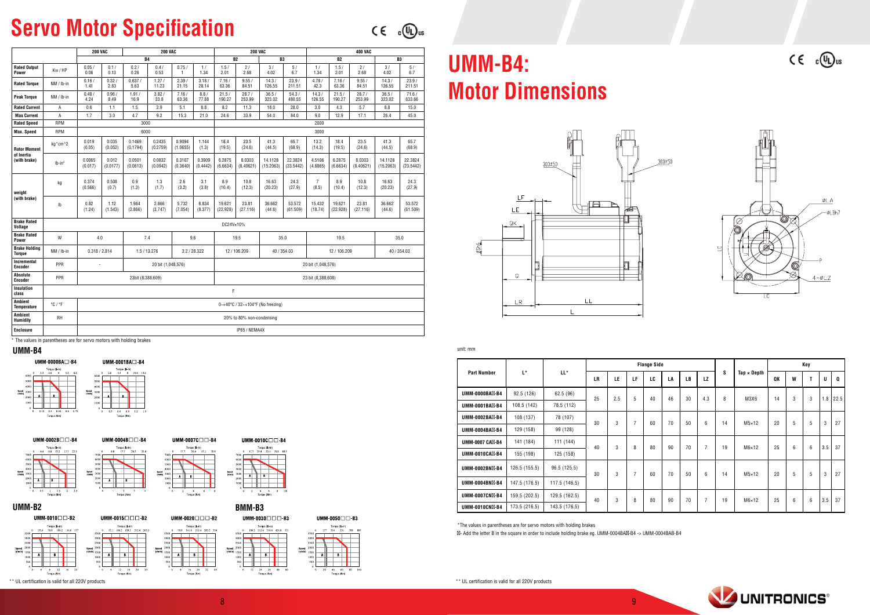## **Servo Motor Specification**

 $C \in C$   $\mathbb{C}$   $\mathbb{D}$  us

**Side Flange S** Tap × Depth **Key Q U T W QK LZ LB LA LC LF LE LR** 25 | 2.5 | 5 | 40 | 46 | 30 | 4.3 | 8 | M3X6 | 14 | 3 | 3 | 1.8 | 22.5  $30$  | 3 | 7 | 60 | 70 | 50 | 6 | 14 | M5×12 | 20 | 5 | 5 | 3 | 27 40 | 3 | 8 | 80 | 90 | 70 | 7 | 19 | M6×12 | 25 | 6 | 6 |3.5 |37  $30$  | 3 | 7 | 60 | 70 | 50 | 6 | 14 | M5×12 | 20 | 5 | 5 | 3 | 27 40 | 3 | 8 | 80 | 90 | 70 | 7 | 19 | M6×12 | 25 | 6 | 6 |3.5 |37



|                        |               |               | <b>Flange S</b> |     |                |    |  |  |  |  |
|------------------------|---------------|---------------|-----------------|-----|----------------|----|--|--|--|--|
| <b>Part Number</b>     | L*            | LL*           | LR.             | LE  | LF             | LC |  |  |  |  |
| UMM-0000BA -B4         | 92.5 (126)    | 62.5 (96)     | 25              | 2.5 | 5              | 40 |  |  |  |  |
| UMM-0001BA -B4         | 108.5 (142)   | 78.5 (112)    |                 |     |                |    |  |  |  |  |
| UMM-0002BA -B4         | 108 (137)     | 78 (107)      | 30              | 3   | $\overline{7}$ | 60 |  |  |  |  |
| UMM-0004BA -B4         | 129 (158)     | 99 (128)      |                 |     |                |    |  |  |  |  |
| <b>UMM-0007 CA -B4</b> | 141 (184)     | 111 (144)     | 40              | 3   | 8              | 80 |  |  |  |  |
| UMM-0010CA -B4         | 155 (198)     | 125 (158)     |                 |     |                |    |  |  |  |  |
| <b>UMM-0002BN -B4</b>  | 126.5 (155.5) | 96.5 (125.5)  | 30              | 3   | $\overline{7}$ | 60 |  |  |  |  |
| UMM-0004BN -B4         | 147.5 (176.5) | 117.5 (146.5) |                 |     |                |    |  |  |  |  |
| UMM-0007CN -B4         | 159.5 (202.5) | 129.5 (162.5) | 40              | 3   | 8              | 80 |  |  |  |  |
| <b>UMM-0010CN -B4</b>  | 173.5 (216.5) | 143.5 (176.5) |                 |     |                |    |  |  |  |  |

 $*$ The values in parentheses are for servo motors with holding brakes

- Add the letter B in the square in order to include holding brake eg. UMM-0004BA -B4 -> UMM-0004BAB-B4

\* The values in parentheses are for servo motors with holding brakes

|                                       |                             | <b>200 VAC</b>    |                   |                    | <b>200 VAC</b>     |                    |                    |                    | <b>200 VAC</b>            |                                   |                      | <b>400 VAC</b>          |                    |                     |                      |                      |  |
|---------------------------------------|-----------------------------|-------------------|-------------------|--------------------|--------------------|--------------------|--------------------|--------------------|---------------------------|-----------------------------------|----------------------|-------------------------|--------------------|---------------------|----------------------|----------------------|--|
|                                       |                             |                   |                   | <b>B4</b>          |                    |                    |                    | <b>B2</b>          |                           | <b>B3</b>                         |                      |                         | <b>B2</b>          |                     | <b>B3</b>            |                      |  |
| <b>Rated Output</b><br>Power          | Kw / HP                     | 0.05/<br>0.06     | 0.1/<br>0.13      | 0.2/<br>0.26       | 0.4/<br>0.53       | 0.75/<br>1         | 1/<br>1.34         | 1.5/<br>2.01       | 2/<br>2.68                | 3/<br>4.02                        | 5/<br>6.7            | 1/<br>1.34              | 1.5/<br>2.01       | 2/<br>2.68          | 3/<br>4.02           | 5/<br>6.7            |  |
| <b>Rated Torque</b>                   | NM / Ib-in                  | 0.16/<br>1.41     | 0.32/<br>2.83     | 0.637/<br>5.63     | 1.27/<br>11.23     | 2.39/<br>21.15     | 3.18/<br>28.14     | 7.16/<br>63.36     | 9.55/<br>84.51            | 14.3/<br>126.55                   | 23.9/<br>211.51      | 4.78/<br>42.3           | 7.16/<br>63.36     | 9.55/<br>84.51      | 14.3/<br>126.55      | 23.9/<br>211.51      |  |
| <b>Peak Torque</b>                    | NM / Ib-in                  | 0.48/<br>4.24     | 0.96/<br>8.49     | 1.91/<br>16.9      | 3.82/<br>33.8      | 7.16/<br>63.36     | 8.8/<br>77.88      | 21.5/<br>190.27    | 28.7/<br>253.99           | 36.5/<br>323.02                   | 54.3/<br>480.55      | 14.3/<br>126.55         | 21.5/<br>190.27    | 28.7/<br>253.99     | 36.5/<br>323.02      | 71.6/<br>633.66      |  |
| <b>Rated Current</b>                  | Α                           | 0.6               | 1.1               | 1.5                | 2.9                | 5.1                | 6.8                | 8.2                | 11.3                      | 18.0                              | 28.0                 | 3.0                     | 4.3                | 5.7                 | 8.8                  | 15.0                 |  |
| <b>Max Current</b>                    | Α                           | 1.7               | 3.0               | 4.7                | 9.2                | 15.3               | 21.0               | 24.6               | 33.9                      | 54.0                              | 84.0                 | 9.0                     | 12.9               | 17.1                | 26.4                 | 45.0                 |  |
| <b>Rated Speed</b>                    | <b>RPM</b>                  |                   |                   | 3000               |                    |                    |                    |                    |                           |                                   |                      | 2000                    |                    |                     |                      |                      |  |
| <b>Max. Speed</b>                     | <b>RPM</b>                  |                   |                   | 6000               |                    |                    |                    |                    |                           |                                   |                      | 3000                    |                    |                     |                      |                      |  |
| <b>Rotor Moment</b>                   | kg*cm^2                     | 0.019<br>(0.05)   | 0.035<br>(0.052)  | 0.1469<br>(0.1794) | 0.2435<br>(0.2759) | 0.9094<br>(1.0655) | 1.144<br>(1.3)     | 18.4<br>(19.5)     | 23.5<br>(24.6)            | 41.3<br>(44.5)                    | 65.7<br>(68.9)       | 13.2<br>(14.3)          | 18.4<br>(19.5)     | 23.5<br>(24.6)      | 41.3<br>(44.5)       | 65.7<br>(68.9)       |  |
| of Inertia<br>(with brake)            | $Ib-in2$                    | 0.0065<br>(0.017) | 0.012<br>(0.0177) | 0.0501<br>(0.0613) | 0.0832<br>(0.0942) | 0.3107<br>(0.3640) | 0.3909<br>(0.4442) | 6.2875<br>(6.6634) | 8.0303<br>(8.40621)       | 14.1128<br>(15.2063)              | 22.3824<br>(23.5442) | 4.5106<br>(4.8865)      | 6.2875<br>(6.6634) | 8.0303<br>(8.40621) | 14.1128<br>(15.2063) | 22.3824<br>(23.5442) |  |
| weight                                | kg                          | 0.374<br>(0.566)  | 0.508<br>(0.7)    | 0.9<br>(1.3)       | 1.3<br>(1.7)       | 2.6<br>(3.2)       | 3.1<br>(3.8)       | 8.9<br>(10.4)      | 10.8<br>(12.3)            | 16.63<br>(20.23)                  | 24.3<br>(27.9)       | $\overline{7}$<br>(8.5) | 8.9<br>(10.4)      | 10.8<br>(12.3)      | 16.63<br>(20.23)     | 24.3<br>(27.9)       |  |
| (with brake)                          | Ib                          | 0.82<br>(1.24)    | 1.12<br>(1.543)   | 1.984<br>(2.866)   | 2.866<br>(3.747)   | 5.732<br>(7.054)   | 6.834<br>(8.377)   | 19.621<br>(22.928) | 23.81<br>(27.116)         | 36.662<br>(44.6)                  | 53.572<br>(61.509)   | 15.432<br>(18.74)       | 19.621<br>(22.928) | 23.81<br>(27.116)   | 36.662<br>(44.6)     | 53.572<br>(61.509)   |  |
| <b>Brake Rated</b><br>Voltage         |                             |                   |                   |                    |                    |                    |                    | DC24V±10%          |                           |                                   |                      |                         |                    |                     |                      |                      |  |
| <b>Brake Rated</b><br>Power           | W                           | 4.0               |                   | 7.4                |                    |                    | 9.6                | 19.5<br>35.0       |                           |                                   |                      |                         | 19.5               | 35.0                |                      |                      |  |
| <b>Brake Holding</b><br><b>Torque</b> | NM / Ib-in                  | 0.318 / 2.814     |                   |                    | 1.5/13.276         |                    | 3.2 / 28.322       |                    | 12/106.209                |                                   | 40 / 354.03          |                         | 12/106.209         |                     | 40 / 354.03          |                      |  |
| Incremental<br><b>Encoder</b>         | PPR                         | ÷,                |                   |                    | 20 bit (1,048,576) |                    |                    | 20 bit (1,048,576) |                           |                                   |                      |                         |                    |                     |                      |                      |  |
| Absolute<br><b>Encoder</b>            | PPR                         |                   |                   | 23bit (8,388,609)  |                    |                    |                    | 23 bit (8,388,608) |                           |                                   |                      |                         |                    |                     |                      |                      |  |
| Insulation<br>class                   |                             |                   |                   |                    |                    |                    |                    | F                  |                           |                                   |                      |                         |                    |                     |                      |                      |  |
| <b>Ambient</b><br><b>Temperature</b>  | $^{\circ}$ C / $^{\circ}$ F |                   |                   |                    |                    |                    |                    |                    |                           | 0~+40°C / 32~+104°F (No freezing) |                      |                         |                    |                     |                      |                      |  |
| Ambient<br>Humidity                   | RH                          |                   |                   |                    |                    |                    |                    |                    | 20% to 80% non-condensing |                                   |                      |                         |                    |                     |                      |                      |  |
| <b>Enclosure</b>                      |                             |                   |                   |                    |                    |                    |                    |                    | IP65 / NEMA4X             |                                   |                      |                         |                    |                     |                      |                      |  |

## **UMM-B4: Motor Dimensions**



unit: mm

### **4B-UMM**













UMM-0020 $\square \square \square$ -B2

Torque (lb-in



## **BMM-B3**





UMM-0050 $\square$  $\square$ -B3

\*\* UL certification is valid for all 220V products \*\* UL certification is valid for all 220V products \*\* UL certification is valid for all 220V products

 $C \in \mathbb{C}$   $\mathbb{Q}_{us}$ 

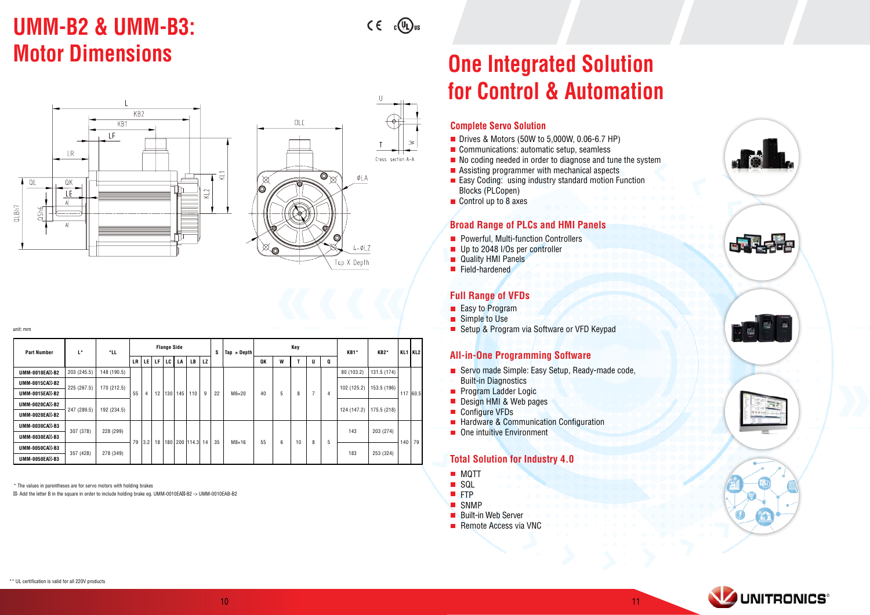# **UMM-B2 & UMM-B3:**

 $C \in C_0(\mathbb{Q})$ 

Cross section A-A

ØLA

 $4 - \phi LZ$ 



unit: mm

| <b>Part Number</b>    | L*                         | *LL                        | <b>Flange Side</b> |                |     |     |     |              |    | s  | $\text{Tab} \times \text{Depth}$ | Key |   |    |   |   | <b>KB1*</b> | KB <sub>2</sub> * | KL1 KL2   |           |  |  |  |  |  |  |  |  |  |  |             |  |  |  |
|-----------------------|----------------------------|----------------------------|--------------------|----------------|-----|-----|-----|--------------|----|----|----------------------------------|-----|---|----|---|---|-------------|-------------------|-----------|-----------|--|--|--|--|--|--|--|--|--|--|-------------|--|--|--|
|                       |                            |                            | <b>LR</b>          | LE I           | LF. | LC  | LA  | LB           | LZ |    |                                  | QK  | W |    |   | Q |             |                   |           |           |  |  |  |  |  |  |  |  |  |  |             |  |  |  |
| <b>UMM-0010EA -B2</b> | 203 (245.5)                | 148 (190.5)                |                    |                |     |     |     |              |    |    |                                  |     |   |    |   |   | 80 (103.2)  | 131.5 (174)       |           |           |  |  |  |  |  |  |  |  |  |  |             |  |  |  |
| UMM-0015CA -B2        | 225 (267.5)<br>170 (212.5) |                            |                    |                |     |     |     |              |    |    |                                  |     |   | 8  |   | 4 | 102 (125.2) | 153.5 (196)       |           |           |  |  |  |  |  |  |  |  |  |  |             |  |  |  |
| UMM-0015EA -B2        |                            |                            | 55                 | $\overline{4}$ | 12  | 130 | 145 | 110          | 9  | 22 | $M6\times20$                     | 40  | 5 |    |   |   |             |                   | 117 60.5  |           |  |  |  |  |  |  |  |  |  |  |             |  |  |  |
| <b>UMM-0020CA -B2</b> |                            | 192 (234.5)<br>247 (289.5) |                    |                |     |     |     |              |    |    |                                  |     |   |    |   |   |             |                   |           |           |  |  |  |  |  |  |  |  |  |  | 124 (147.2) |  |  |  |
| <b>UMM-0020EA -B2</b> |                            |                            |                    |                |     |     |     |              |    |    |                                  |     |   |    |   |   |             | 175.5 (218)       |           |           |  |  |  |  |  |  |  |  |  |  |             |  |  |  |
| UMM-0030CA -B3        | 307 (378)                  |                            |                    |                |     |     |     |              |    |    |                                  |     |   |    |   |   |             |                   |           |           |  |  |  |  |  |  |  |  |  |  |             |  |  |  |
| <b>UMM-0030EA -B3</b> |                            | 228 (299)                  | 79                 |                |     |     |     |              |    |    |                                  |     |   |    |   |   |             | 143               | 203 (274) |           |  |  |  |  |  |  |  |  |  |  |             |  |  |  |
| UMM-0050CA -B3        | 357 (428)                  |                            |                    | 3.2            | 18  | 180 |     | 200 114.3 14 |    | 35 | $M8\times16$                     | 55  | 6 | 10 | 8 | 5 |             |                   | 140       | 79        |  |  |  |  |  |  |  |  |  |  |             |  |  |  |
| UMM-0050EA -B3        |                            |                            |                    | 278 (349)      |     |     |     |              |    |    |                                  |     |   |    |   |   |             |                   | 183       | 253 (324) |  |  |  |  |  |  |  |  |  |  |             |  |  |  |

\* The values in parentheses are for servo motors with holding brakes

- Add the letter B in the square in order to include holding brake eq. UMM-0010EA -B2 -> UMM-0010EAB-B2

## **Solution Integrated Solution** Cheaper and Cheap are not a set of the United Solution **Automation & Automation**

### **Complete Servo Solution**

- $\blacksquare$  Drives & Motors (50W to 5,000W, 0.06-6.7 HP)
- $\blacksquare$  Communications: automatic setup, seamless
- $\blacksquare$  No coding needed in order to diagnose and tune the system
- $\blacksquare$  Assisting programmer with mechanical aspects
- $E$ asy Coding: using industry standard motion Function Blocks (PLCopen)
- $\Box$  Control up to 8 axes

### **Broad Range of PLCs and HMI Panels**

- $\blacksquare$  Powerful, Multi-function Controllers
- **u** Up to 2048 I/Os per controller
- **Panels** Quality HMI Panels
- $\blacksquare$  Field-hardened

### **Full Range of VFDs**

- $\blacksquare$  Easy to Program
- $\blacksquare$  Simple to Use
- Setup & Program via Software or VFD Keypad

### **All-in-One Programming Software**

- $\blacksquare$  Servo made Simple: Easy Setup, Ready-made code, **Built-in Diagnostics**
- **Program Ladder Logic**
- **Design HMI & Web pages**
- Configure VFDs
- **E** Hardware & Communication Configuration
- $\blacksquare$  One intuitive Environment

## **Total Solution for Industry 4.0**

- **MQTT**
- **SQL**
- **FTP**
- **SNMP**
- **Built-in Web Server**
- $\blacksquare$  Remote Access via VNC